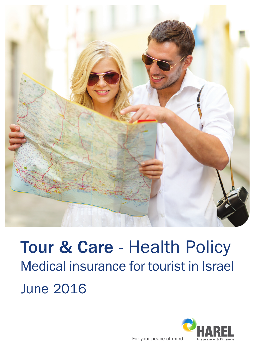

# Tour & Care - Health Policy Medical insurance for tourist in Israel June 2016



For your peace of mind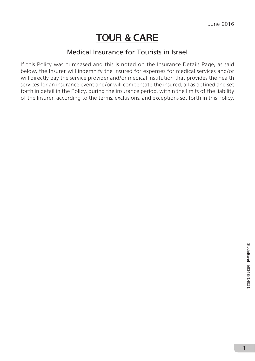## **TOUR & CARE**

### Medical Insurance for Tourists in Israel

If this Policy was purchased and this is noted on the Insurance Details Page, as said below, the Insurer will indemnify the Insured for expenses for medical services and/or will directly pay the service provider and/or medical institution that provides the health services for an insurance event and/or will compensate the insured, all as defined and set forth in detail in the Policy, during the insurance period, within the limits of the liability of the Insurer, according to the terms, exclusions, and exceptions set forth in this Policy.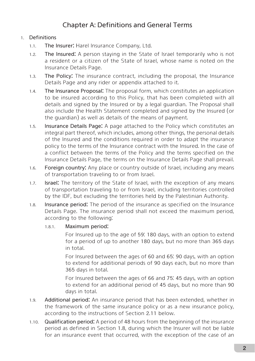## Chapter A: Definitions and General Terms

#### 1. Definitions

- 1.1. The Insurer: Harel Insurance Company, Ltd.
- 1.2. The Insured: A person staying in the State of Israel temporarily who is not a resident or a citizen of the State of Israel, whose name is noted on the Insurance Details Page.
- 1.3. The Policy: The insurance contract, including the proposal, the Insurance Details Page and any rider or appendix attached to it.
- 1.4. The Insurance Proposal: The proposal form, which constitutes an application to be insured according to this Policy, that has been completed with all details and signed by the Insured or by a legal guardian. The Proposal shall also include the Health Statement completed and signed by the Insured (or the guardian) as well as details of the means of payment.
- 1.5. Insurance Details Page: A page attached to the Policy which constitutes an integral part thereof, which includes, among other things, the personal details of the Insured and the conditions required in order to adapt the insurance policy to the terms of the Insurance contract with the Insured. In the case of a conflict between the terms of the Policy and the terms specified on the Insurance Details Page, the terms on the Insurance Details Page shall prevail.
- 1.6. Foreign country: Any place or country outside of Israel, including any means of transportation traveling to or from Israel.
- 1.7. **Israel:** The territory of the State of Israel, with the exception of any means of transportation traveling to or from Israel, including territories controlled by the IDF, but excluding the territories held by the Palestinian Authority.
- 1.8. Insurance period: The period of the insurance as specified on the Insurance Details Page. The insurance period shall not exceed the maximum period, according to the following:

#### 1.8.1. Maximum period:

For Insured up to the age of 59: 180 days, with an option to extend for a period of up to another 180 days, but no more than 365 days in total.

For Insured between the ages of 60 and 65: 90 days, with an option to extend for additional periods of 90 days each, but no more than 365 days in total.

For Insured between the ages of 66 and 75: 45 days, with an option to extend for an additional period of 45 days, but no more than 90 days in total.

- 1.9. Additional period: An insurance period that has been extended, whether in the framework of the same insurance policy or as a new insurance policy, according to the instructions of Section 2.11 below.
- 1.10. Qualification period: A period of 48 hours from the beginning of the insurance period as defined in Section 1.8, during which the Insurer will not be liable for an insurance event that occurred, with the exception of the case of an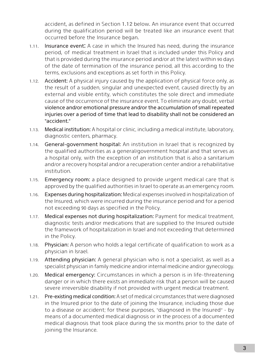accident, as defined in Section 1.12 below. An insurance event that occurred during the qualification period will be treated like an insurance event that occurred before the Insurance began.

- 1.11. Insurance event: A case in which the Insured has need, during the insurance period, of medical treatment in Israel that is included under this Policy and that is provided during the insurance period and/or at the latest within 90 days of the date of termination of the insurance period, all this according to the terms, exclusions and exceptions as set forth in this Policy.
- 1.12. Accident: A physical injury caused by the application of physical force only, as the result of a sudden, singular and unexpected event, caused directly by an external and visible entity, which constitutes the sole direct and immediate cause of the occurrence of the insurance event. To eliminate any doubt, verbal violence and/or emotional pressure and/or the accumulation of small repeated injuries over a period of time that lead to disability shall not be considered an "accident."
- 1.13. Medical institution: A hospital or clinic, including a medical institute, laboratory, diagnostic centers, pharmacy.
- 1.14. General-government hospital: An institution in Israel that is recognized by the qualified authorities as a general/government hospital and that serves as a hospital only, with the exception of an institution that is also a sanitarium and/or a recovery hospital and/or a recuperation center and/or a rehabilitative institution.
- 1.15. Emergency room: a place designed to provide urgent medical care that is approved by the qualified authorities in Israel to operate as an emergency room.
- 1.16. Expenses during hospitalization: Medical expenses involved in hospitalization of the Insured, which were incurred during the insurance period and for a period not exceeding 90 days as specified in the Policy.
- 1.17. Medical expenses not during hospitalization: Payment for medical treatment, diagnostic tests and/or medications that are supplied to the Insured outside the framework of hospitalization in Israel and not exceeding that determined in the Policy.
- 1.18. Physician: A person who holds a legal certificate of qualification to work as a physician in Israel.
- 1.19. Attending physician: A general physician who is not a specialist, as well as a specialist physician in family medicine and/or internal medicine and/or gynecology.
- 1.20. Medical emergency: Circumstances in which a person is in life-threatening danger or in which there exists an immediate risk that a person will be caused severe irreversible disability if not provided with urgent medical treatment.
- 1.21. Pre-existing medical condition: A set of medical circumstances that were diagnosed in the Insured prior to the date of joining the Insurance, including those due to a disease or accident; for these purposes, "diagnosed in the Insured" – by means of a documented medical diagnosis or in the process of a documented medical diagnosis that took place during the six months prior to the date of joining the Insurance.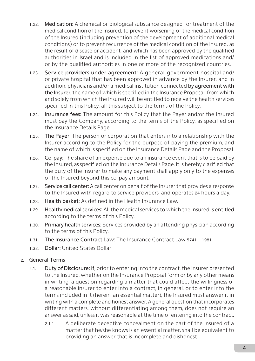- 1.22. Medication: A chemical or biological substance designed for treatment of the medical condition of the Insured, to prevent worsening of the medical condition of the Insured (including prevention of the development of additional medical conditions) or to prevent recurrence of the medical condition of the Insured, as the result of disease or accident, and which has been approved by the qualified authorities in Israel and is included in the list of approved medications and/ or by the qualified authorities in one or more of the recognized countries.
- 1.23. Service providers under agreement: A general-government hospital and/ or private hospital that has been approved in advance by the Insurer, and in addition, physicians and/or a medical institution connected by agreement with the Insurer, the name of which is specified in the Insurance Proposal, from which and solely from which the Insured will be entitled to receive the health services specified in this Policy, all this subject to the terms of the Policy.
- 1.24. Insurance fees: The amount for this Policy that the Payer and/or the Insured must pay the Company, according to the terms of the Policy, as specified on the Insurance Details Page.
- 1.25. The Payer: The person or corporation that enters into a relationship with the Insurer according to the Policy for the purpose of paying the premium, and the name of which is specified on the Insurance Details Page and the Proposal.
- 1.26. Co-pay: The share of an expense due to an insurance event that is to be paid by the Insured, as specified on the Insurance Details Page. It is hereby clarified that the duty of the Insurer to make any payment shall apply only to the expenses of the Insured beyond this co-pay amount.
- 1.27. Service call center: A call center on behalf of the Insurer that provides a response to the Insured with regard to service providers, and operates 24 hours a day.
- 1.28. Health basket: As defined in the Health Insurance Law.
- 1.29. Health/medical services: All the medical services to which the Insured is entitled according to the terms of this Policy.
- 1.30. Primary health services: Services provided by an attending physician according to the terms of this Policy.
- 1.31. The Insurance Contract Law: The Insurance Contract Law 5741 1981.
- 1.32. Dollar: United States Dollar

#### 2. General Terms

- 2.1. Duty of Disclosure: If, prior to entering into the contract, the Insurer presented to the Insured, whether on the Insurance Proposal form or by any other means in writing, a question regarding a matter that could affect the willingness of a reasonable insurer to enter into a contract, in general, or to enter into the terms included in it (herein: an essential matter), the Insured must answer it in writing with a complete and honest answer. A general question that incorporates different matters, without differentiating among them, does not require an answer as said, unless it was reasonable at the time of entering into the contract.
	- 2.1.1. A deliberate deceptive concealment on the part of the Insured of a matter that he/she knows is an essential matter, shall be equivalent to providing an answer that is incomplete and dishonest.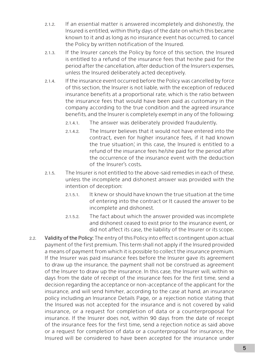- 2.1.2. If an essential matter is answered incompletely and dishonestly, the Insured is entitled, within thirty days of the date on which this became known to it and as long as no insurance event has occurred, to cancel the Policy by written notification of the Insured.
- 2.1.3. If the Insurer cancels the Policy by force of this section, the Insured is entitled to a refund of the insurance fees that he/she paid for the period after the cancellation, after deduction of the Insurer's expenses, unless the Insured deliberately acted deceptively.
- 2.1.4. If the insurance event occurred before the Policy was cancelled by force of this section, the Insurer is not liable, with the exception of reduced insurance benefits at a proportional rate, which is the ratio between the insurance fees that would have been paid as customary in the company according to the true condition and the agreed insurance benefits, and the Insurer is completely exempt in any of the following:
	- 2.1.4.1. The answer was deliberately provided fraudulently.
	- 2.1.4.2. The Insurer believes that it would not have entered into the contract, even for higher insurance fees, if it had known the true situation; in this case, the Insured is entitled to a refund of the insurance fees he/she paid for the period after the occurrence of the insurance event with the deduction of the Insurer's costs.
- 2.1.5. The Insurer is not entitled to the above-said remedies in each of these, unless the incomplete and dishonest answer was provided with the intention of deception:
	- 2.1.5.1. It knew or should have known the true situation at the time of entering into the contract or It caused the answer to be incomplete and dishonest.
	- 2.1.5.2. The fact about which the answer provided was incomplete and dishonest ceased to exist prior to the insurance event, or did not affect its case, the liability of the Insurer or its scope.
- 2.2. Validity of the Policy: The entry of this Policy into effect is contingent upon actual payment of the first premium. This term shall not apply if the Insured provided a means of payment from which it is possible to collect the insurance premium. If the Insurer was paid insurance fees before the Insurer gave its agreement to draw up the insurance, the payment shall not be construed as agreement of the Insurer to draw up the insurance. In this case, the Insurer will, within 90 days from the date of receipt of the insurance fees for the first time, send a decision regarding the acceptance or non-acceptance of the applicant for the insurance, and will send him/her, according to the case at hand, an insurance policy including an Insurance Details Page, or a rejection notice stating that the Insured was not accepted for the insurance and is not covered by valid insurance, or a request for completion of data or a counterproposal for insurance. If the Insurer does not, within 90 days from the date of receipt of the insurance fees for the first time, send a rejection notice as said above or a request for completion of data or a counterproposal for insurance, the Insured will be considered to have been accepted for the insurance under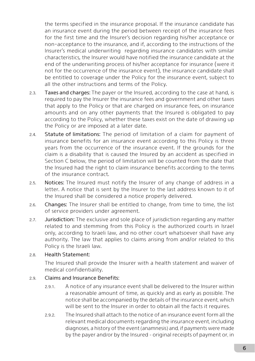the terms specified in the insurance proposal. If the insurance candidate has an insurance event during the period between receipt of the insurance fees for the first time and the Insurer's decision regarding his/her acceptance or non-acceptance to the insurance, and if, according to the instructions of the Insurer's medical underwriting regarding insurance candidates with similar characteristics, the Insurer would have notified the insurance candidate at the end of the underwriting process of his/her acceptance for insurance (were it not for the occurrence of the insurance event), the insurance candidate shall be entitled to coverage under the Policy for the insurance event, subject to all the other instructions and terms of the Policy.

- 2.3. Taxes and charges: The payer or the Insured, according to the case at hand, is required to pay the Insurer the insurance fees and government and other taxes that apply to the Policy or that are charged on insurance fees, on insurance amounts and on any other payments that the Insured is obligated to pay according to the Policy, whether these taxes exist on the date of drawing up the Policy or are imposed at a later date.
- 2.4. Statute of limitations: The period of limitation of a claim for payment of insurance benefits for an insurance event according to this Policy is three years from the occurrence of the insurance event. If the grounds for the claim is a disability that is caused the Insured by an accident as specified in Section C below, the period of limitation will be counted from the date that the Insured had the right to claim insurance benefits according to the terms of the insurance contract.
- 2.5. Notices: The Insured must notify the Insurer of any change of address in a letter. A notice that is sent by the Insurer to the last address known to it of the Insured shall be considered a notice properly delivered.
- 2.6. Changes: The Insurer shall be entitled to change, from time to time, the list of service providers under agreement.
- 2.7. Jurisdiction: The exclusive and sole place of jurisdiction regarding any matter related to and stemming from this Policy is the authorized courts in Israel only, according to Israeli law, and no other court whatsoever shall have any authority. The law that applies to claims arising from and/or related to this Policy is the Israeli law.

#### 2.8. Health Statement:

The Insured shall provide the Insurer with a health statement and waiver of medical confidentiality.

#### 2.9. Claims and Insurance Benefits:

- 2.9.1. A notice of any insurance event shall be delivered to the Insurer within a reasonable amount of time, as quickly and as early as possible. The notice shall be accompanied by the details of the insurance event, which will be sent to the Insurer in order to obtain all the facts it requires.
- 2.9.2. The Insured shall attach to the notice of an insurance event form all the relevant medical documents regarding the insurance event, including diagnoses, a history of the event (anamnesis) and, if payments were made by the payer and/or by the Insured – original receipts of payment or, in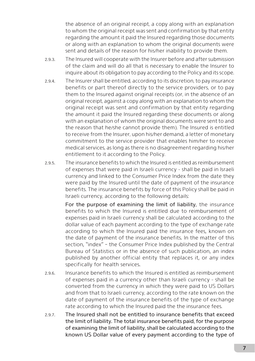the absence of an original receipt, a copy along with an explanation to whom the original receipt was sent and confirmation by that entity regarding the amount it paid the Insured regarding those documents or along with an explanation to whom the original documents were sent and details of the reason for his/her inability to provide them.

- 2.9.3. The Insured will cooperate with the Insurer before and after submission of the claim and will do all that is necessary to enable the Insurer to inquire about its obligation to pay according to the Policy and its scope.
- 2.9.4. The Insurer shall be entitled, according to its discretion, to pay insurance benefits or part thereof directly to the service providers, or to pay them to the Insured against original receipts (or, in the absence of an original receipt, against a copy along with an explanation to whom the original receipt was sent and confirmation by that entity regarding the amount it paid the Insured regarding these documents or along with an explanation of whom the original documents were sent to and the reason that he/she cannot provide them). The Insured is entitled to receive from the Insurer, upon his/her demand, a letter of monetary commitment to the service provider that enables him/her to receive medical services, as long as there is no disagreement regarding his/her entitlement to it according to the Policy.
- 2.9.5. The insurance benefits to which the Insured is entitled as reimbursement of expenses that were paid in Israeli currency – shall be paid in Israeli currency and linked to the Consumer Price Index from the date they were paid by the Insured until the date of payment of the insurance benefits. The insurance benefits by force of this Policy shall be paid in Israeli currency, according to the following details:

For the purpose of examining the limit of liability, the insurance benefits to which the Insured is entitled due to reimbursement of expenses paid in Israeli currency shall be calculated according to the dollar value of each payment according to the type of exchange rate according to which the Insured paid the insurance fees, known on the date of payment of the insurance benefits. In the matter of this section, "index" – the Consumer Price Index published by the Central Bureau of Statistics or in the absence of such publication, an index published by another official entity that replaces it, or any index specifically for health services.

- 2.9.6. Insurance benefits to which the Insured is entitled as reimbursement of expenses paid in a currency other than Israeli currency – shall be converted from the currency in which they were paid to US Dollars and from that to Israeli currency, according to the rate known on the date of payment of the insurance benefits of the type of exchange rate according to which the Insured paid the the insurance fees.
- 2.9.7. The Insured shall not be entitled to insurance benefits that exceed the limit of liability. The total insurance benefits paid, for the purpose of examining the limit of liability, shall be calculated according to the known US Dollar value of every payment according to the type of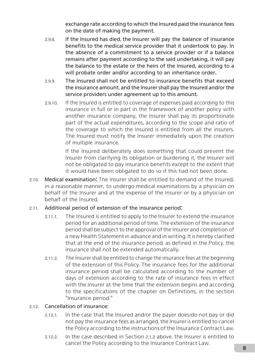exchange rate according to which the Insured paid the insurance fees on the date of making the payment.

- 2.9.8. If the Insured has died, the Insurer will pay the balance of insurance benefits to the medical service provider that it undertook to pay. In the absence of a commitment to a service provider or if a balance remains after payment according to the said undertaking, it will pay the balance to the estate or the heirs of the Insured, according to a will probate order and/or according to an inheritance order.
- 2.9.9. The Insured shall not be entitled to insurance benefits that exceed the insurance amount, and the Insurer shall pay the Insured and/or the service providers under agreement up to this amount.
- 2.9.10. If the Insured is entitled to coverage of expenses paid according to this insurance in full or in part in the framework of another policy with another insurance company, the Insurer shall pay its proportionate part of the actual expenditures, according to the scope and ratio of the coverage to which the Insured is entitled from all the insurers. The Insured must notify the Insurer immediately upon the creation of multiple insurance.

If the Insured deliberately does something that could prevent the Insurer from clarifying its obligation or burdening it, the Insurer will not be obligated to pay insurance benefits except to the extent that it would have been obligated to do so if this had not been done.

2.10. Medical examination: The Insurer shall be entitled to demand of the Insured, in a reasonable manner, to undergo medical examinations by a physician on behalf of the Insurer and at the expense of the Insurer or by a physician on behalf of the Insured.

#### 2.11. Additional period of extension of the insurance period:

- 2.11.1. The Insured is entitled to apply to the Insurer to extend the insurance period for an additional period of time. The extension of the insurance period shall be subject to the approval of the Insurer and completion of a new Health Statement in advance and in writing. It is hereby clarified that at the end of the insurance period, as defined in the Policy, the insurance shall not be extended automatically.
- 2.11.2. The Insurer shall be entitled to change the insurance fees at the beginning of the extension of this Policy. The insurance fees for the additional insurance period shall be calculated according to the number of days of extension according to the rate of insurance fees in effect with the Insurer at the time that the extension begins and according to the specifications of the chapter on Definitions, in the section "Insurance period."

#### 2.12. Cancellation of insurance:

- 2.12.1. In the case that the Insured and/or the payer does/do not pay or did not pay the insurance fees as arranged, the Insurer is entitled to cancel the Policy according to the instructions of the Insurance Contract Law.
- 2.12.2. In the case described in Section 2.1.2 above, the Insurer is entitled to cancel the Policy according to the Insurance Contract Law.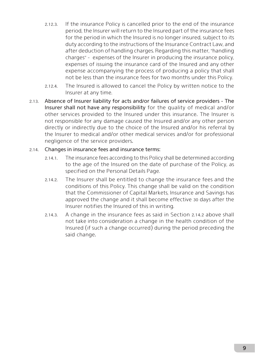- 2.12.3. If the insurance Policy is cancelled prior to the end of the insurance period, the Insurer will return to the Insured part of the insurance fees for the period in which the Insured is no longer insured, subject to its duty according to the instructions of the Insurance Contract Law, and after deduction of handling charges. Regarding this matter, "handling charges" – expenses of the Insurer in producing the insurance policy, expenses of issuing the insurance card of the Insured and any other expense accompanying the process of producing a policy that shall not be less than the insurance fees for two months under this Policy.
- 2.12.4. The Insured is allowed to cancel the Policy by written notice to the Insurer at any time.
- 2.13. Absence of Insurer liability for acts and/or failures of service providers The Insurer shall not have any responsibility for the quality of medical and/or other services provided to the Insured under this insurance. The Insurer is not responsible for any damage caused the Insured and/or any other person directly or indirectly due to the choice of the Insured and/or his referral by the Insurer to medical and/or other medical services and/or for professional negligence of the service providers.

#### 2.14. Changes in insurance fees and insurance terms:

- 2.14.1. The insurance fees according to this Policy shall be determined according to the age of the Insured on the date of purchase of the Policy, as specified on the Personal Details Page.
- 2.14.2. The Insurer shall be entitled to change the insurance fees and the conditions of this Policy. This change shall be valid on the condition that the Commissioner of Capital Markets, Insurance and Savings has approved the change and it shall become effective 30 days after the Insurer notifies the Insured of this in writing.
- 2.14.3. A change in the insurance fees as said in Section 2.14.2 above shall not take into consideration a change in the health condition of the Insured (if such a change occurred) during the period preceding the said change.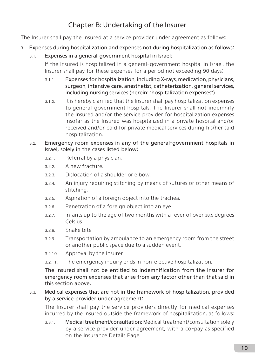## Chapter B: Undertaking of the Insurer

The Insurer shall pay the Insured at a service provider under agreement as follows:

- 3. Expenses during hospitalization and expenses not during hospitalization as follows:
	- 3.1. Expenses in a general–government hospital in Israel:

If the Insured is hospitalized in a general-government hospital in Israel, the Insurer shall pay for these expenses for a period not exceeding 90 days:

- 3.1.1. Expenses for hospitalization, including X-rays, medication, physicians, surgeon, intensive care, anesthetist, catheterization, general services, including nursing services (herein: "hospitalization expenses").
- 3.1.2. It is hereby clarified that the Insurer shall pay hospitalization expenses to general-government hospitals. The Insurer shall not indemnify the Insured and/or the service provider for hospitalization expenses insofar as the Insured was hospitalized in a private hospital and/or received and/or paid for private medical services during his/her said hospitalization.

#### 3.2. Emergency room expenses in any of the general-government hospitals in Israel, solely in the cases listed below:

- 3.2.1. Referral by a physician.
- 3.2.2. A new fracture.
- 3.2.3. Dislocation of a shoulder or elbow.
- 3.2.4. An injury requiring stitching by means of sutures or other means of stitching.
- 3.2.5. Aspiration of a foreign object into the trachea.
- 3.2.6. Penetration of a foreign object into an eye.
- 3.2.7. Infants up to the age of two months with a fever of over 38.5 degrees Celsius.
- 3.2.8. Snake bite.
- 3.2.9. Transportation by ambulance to an emergency room from the street or another public space due to a sudden event.
- 3.2.10. Approval by the Insurer.
- 3.2.11. The emergency inquiry ends in non-elective hospitalization.

The Insured shall not be entitled to indemnification from the Insurer for emergency room expenses that arise from any factor other than that said in this section above.

#### 3.3. Medical expenses that are not in the framework of hospitalization, provided by a service provider under agreement:

The Insurer shall pay the service providers directly for medical expenses incurred by the Insured outside the framework of hospitalization, as follows:

3.3.1. Medical treatment/consultation: Medical treatment/consultation solely by a service provider under agreement, with a co-pay as specified on the Insurance Details Page.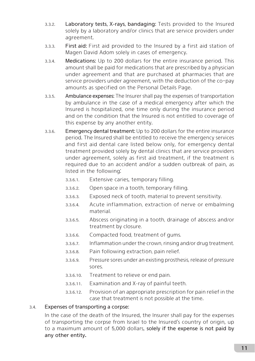- 3.3.2. Laboratory tests, X-rays, bandaging: Tests provided to the Insured solely by a laboratory and/or clinics that are service providers under agreement.
- 3.3.3. First aid: First aid provided to the Insured by a first aid station of Magen David Adom solely in cases of emergency.
- 3.3.4. Medications: Up to 200 dollars for the entire insurance period. This amount shall be paid for medications that are prescribed by a physician under agreement and that are purchased at pharmacies that are service providers under agreement, with the deduction of the co-pay amounts as specified on the Personal Details Page.
- 3.3.5. Ambulance expenses: The Insurer shall pay the expenses of transportation by ambulance in the case of a medical emergency after which the Insured is hospitalized, one time only during the insurance period and on the condition that the Insured is not entitled to coverage of this expense by any another entity.
- 3.3.6. Emergency dental treatment: Up to 200 dollars for the entire insurance period. The Insured shall be entitled to receive the emergency services and first aid dental care listed below only, for emergency dental treatment provided solely by dental clinics that are service providers under agreement, solely as first aid treatment, if the treatment is required due to an accident and/or a sudden outbreak of pain, as listed in the following:
	- 3.3.6.1. Extensive caries, temporary filling.
	- 3.3.6.2. Open space in a tooth, temporary filling.
	- 3.3.6.3. Exposed neck of tooth, material to prevent sensitivity.
	- 3.3.6.4. Acute inflammation, extraction of nerve or embalming material.
	- 3.3.6.5. Abscess originating in a tooth, drainage of abscess and/or treatment by closure.
	- 3.3.6.6. Compacted food, treatment of gums.
	- 3.3.6.7. Inflammation under the crown, rinsing and/or drug treatment.
	- 3.3.6.8. Pain following extraction, pain relief.
	- 3.3.6.9. Pressure sores under an existing prosthesis, release of pressure sores.
	- 3.3.6.10. Treatment to relieve or end pain.
	- 3.3.6.11. Examination and X-ray of painful teeth.
	- 3.3.6.12. Provision of an appropriate prescription for pain relief in the case that treatment is not possible at the time.

#### 3.4. Expenses of transporting a corpse:

In the case of the death of the Insured, the Insurer shall pay for the expenses of transporting the corpse from Israel to the Insured's country of origin, up to a maximum amount of 5,000 dollars, solely if the expense is not paid by any other entity.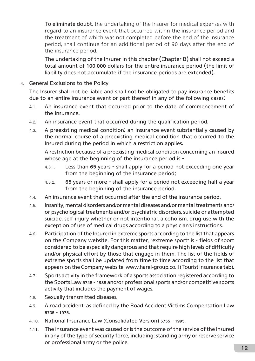To eliminate doubt, the undertaking of the Insurer for medical expenses with regard to an insurance event that occurred within the insurance period and the treatment of which was not completed before the end of the insurance period, shall continue for an additional period of 90 days after the end of the insurance period.

The undertaking of the Insurer in this chapter (Chapter B) shall not exceed a total amount of 100,000 dollars for the entire insurance period (the limit of liability does not accumulate if the insurance periods are extended).

4. General Exclusions to the Policy

The Insurer shall not be liable and shall not be obligated to pay insurance benefits due to an entire insurance event or part thereof in any of the following cases:

- 4.1. An insurance event that occurred prior to the date of commencement of the insurance.
- 4.2. An insurance event that occurred during the qualification period.
- 4.3. A preexisting medical condition: an insurance event substantially caused by the normal course of a preexisting medical condition that occurred to the Insured during the period in which a restriction applies.

A restriction because of a preexisting medical condition concerning an insured whose age at the beginning of the insurance period is –

- 4.3.1. Less than 65 years shall apply for a period not exceeding one year from the beginning of the insurance period;
- 4.3.2. 65 years or more shall apply for a period not exceeding half a year from the beginning of the insurance period.
- 4.4. An insurance event that occurred after the end of the insurance period.
- 4.5. Insanity, mental disorders and/or mental diseases and/or mental treatments and/ or psychological treatments and/or psychiatric disorders, suicide or attempted suicide, self-injury whether or not intentional, alcoholism, drug use with the exception of use of medical drugs according to a physician's instructions.
- 4.6. Participation of the Insured in extreme sports according to the list that appears on the Company website. For this matter, "extreme sport" is – fields of sport considered to be especially dangerous and that require high levels of difficulty and/or physical effort by those that engage in them. The list of the fields of extreme sports shall be updated from time to time according to the list that appears on the Company website, www.harel-group.co.il (Tourist Insurance tab).
- 4.7. Sports activity in the framework of a sports association registered according to the Sports Law 5748 – 1988 and/or professional sports and/or competitive sports activity that includes the payment of wages.
- 4.8. Sexually transmitted diseases.
- 4.9. A road accident, as defined by the Road Accident Victims Compensation Law 5735 – 1975.
- 4.10. National Insurance Law (Consolidated Version) 5755 1995.
- 4.11. The insurance event was caused or is the outcome of the service of the Insured in any of the type of security force, including: standing army or reserve service or professional army or the police.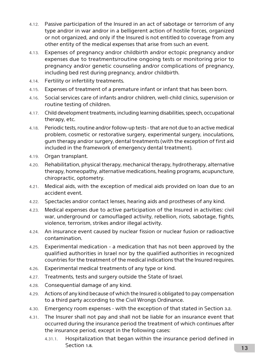- 4.12. Passive participation of the Insured in an act of sabotage or terrorism of any type and/or in war and/or in a belligerent action of hostile forces, organized or not organized, and only if the Insured is not entitled to coverage from any other entity of the medical expenses that arise from such an event.
- 4.13. Expenses of pregnancy and/or childbirth and/or ectopic pregnancy and/or expenses due to treatments/routine ongoing tests or monitoring prior to pregnancy and/or genetic counseling and/or complications of pregnancy, including bed rest during pregnancy, and/or childbirth.
- 4.14. Fertility or infertility treatments.
- 4.15. Expenses of treatment of a premature infant or infant that has been born.
- 4.16. Social services care of infants and/or children, well-child clinics, supervision or routine testing of children.
- 4.17. Child development treatments, including learning disabilities, speech, occupational therapy, etc.
- 4.18. Periodic tests, routine and/or follow-up tests that are not due to an active medical problem, cosmetic or restorative surgery, experimental surgery, inoculations, gum therapy and/or surgery, dental treatments (with the exception of first aid included in the framework of emergency dental treatment).
- 4.19. Organ transplant.
- 4.20. Rehabilitation, physical therapy, mechanical therapy, hydrotherapy, alternative therapy, homeopathy, alternative medications, healing programs, acupuncture, chiropractic, optometry.
- 4.21. Medical aids, with the exception of medical aids provided on loan due to an accident event.
- 4.22. Spectacles and/or contact lenses, hearing aids and prostheses of any kind.
- 4.23. Medical expenses due to active participation of the Insured in activities: civil war, underground or camouflaged activity, rebellion, riots, sabotage, fights, violence, terrorism, strikes and/or illegal activity.
- 4.24. An insurance event caused by nuclear fission or nuclear fusion or radioactive contamination.
- 4.25. Experimental medication a medication that has not been approved by the qualified authorities in Israel nor by the qualified authorities in recognized countries for the treatment of the medical indications that the Insured requires.
- 4.26. Experimental medical treatments of any type or kind.
- 4.27. Treatments, tests and surgery outside the State of Israel.
- 4.28. Consequential damage of any kind.
- 4.29. Actions of any kind because of which the Insured is obligated to pay compensation to a third party according to the Civil Wrongs Ordinance.
- 4.30. Emergency room expenses with the exception of that stated in Section 3.2.
- 4.31. The Insurer shall not pay and shall not be liable for an insurance event that occurred during the insurance period the treatment of which continues after the insurance period, except in the following cases:
	- 4.31.1. Hospitalization that began within the insurance period defined in Section 1.8.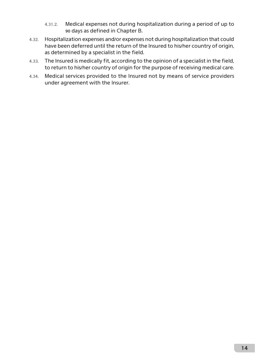- 4.31.2. Medical expenses not during hospitalization during a period of up to 90 days as defined in Chapter B.
- 4.32. Hospitalization expenses and/or expenses not during hospitalization that could have been deferred until the return of the Insured to his/her country of origin, as determined by a specialist in the field.
- 4.33. The Insured is medically fit, according to the opinion of a specialist in the field, to return to his/her country of origin for the purpose of receiving medical care.
- 4.34. Medical services provided to the Insured not by means of service providers under agreement with the Insurer.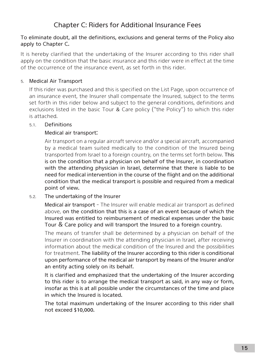## Chapter C: Riders for Additional Insurance Fees

#### To eliminate doubt, all the definitions, exclusions and general terms of the Policy also apply to Chapter C.

It is hereby clarified that the undertaking of the Insurer according to this rider shall apply on the condition that the basic insurance and this rider were in effect at the time of the occurrence of the insurance event, as set forth in this rider.

#### 5. Medical Air Transport

If this rider was purchased and this is specified on the List Page, upon occurrence of an insurance event, the Insurer shall compensate the Insured, subject to the terms set forth in this rider below and subject to the general conditions, definitions and exclusions listed in the basic Tour & Care policy ("the Policy") to which this rider is attached.

#### 5.1. Definitions

#### Medical air transport:

Air transport on a regular aircraft service and/or a special aircraft, accompanied by a medical team suited medically to the condition of the Insured being transported from Israel to a foreign country, on the terms set forth below. This is on the condition that a physician on behalf of the Insurer, in coordination with the attending physician in Israel, determine that there is liable to be need for medical intervention in the course of the flight and on the additional condition that the medical transport is possible and required from a medical point of view.

#### 5.2. The undertaking of the Insurer

Medical air transport - The Insurer will enable medical air transport as defined above, on the condition that this is a case of an event because of which the Insured was entitled to reimbursement of medical expenses under the basic Tour & Care policy and will transport the Insured to a foreign country.

The means of transfer shall be determined by a physician on behalf of the Insurer in coordination with the attending physician in Israel, after receiving information about the medical condition of the Insured and the possibilities for treatment. The liability of the Insurer according to this rider is conditional upon performance of the medical air transport by means of the Insurer and/or an entity acting solely on its behalf.

It is clarified and emphasized that the undertaking of the Insurer according to this rider is to arrange the medical transport as said, in any way or form, insofar as this is at all possible under the circumstances of the time and place in which the Insured is located.

The total maximum undertaking of the Insurer according to this rider shall not exceed \$10,000.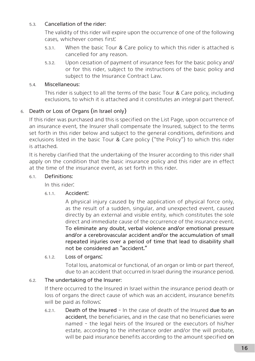#### 5.3. Cancellation of the rider:

The validity of this rider will expire upon the occurrence of one of the following cases, whichever comes first:

- 5.3.1. When the basic Tour & Care policy to which this rider is attached is cancelled for any reason.
- 5.3.2. Upon cessation of payment of insurance fees for the basic policy and/ or for this rider, subject to the instructions of the basic policy and subject to the Insurance Contract Law.

#### 5.4. Miscellaneous:

This rider is subject to all the terms of the basic Tour & Care policy, including exclusions, to which it is attached and it constitutes an integral part thereof.

#### 6. Death or Loss of Organs (in Israel only)

If this rider was purchased and this is specified on the List Page, upon occurrence of an insurance event, the Insurer shall compensate the Insured, subject to the terms set forth in this rider below and subject to the general conditions, definitions and exclusions listed in the basic Tour & Care policy ("the Policy") to which this rider is attached.

It is hereby clarified that the undertaking of the Insurer according to this rider shall apply on the condition that the basic insurance policy and this rider are in effect at the time of the insurance event, as set forth in this rider.

#### 6.1. Definitions:

In this rider:

#### 6.1.1. Accident:

A physical injury caused by the application of physical force only, as the result of a sudden, singular, and unexpected event, caused directly by an external and visible entity, which constitutes the sole direct and immediate cause of the occurrence of the insurance event. To eliminate any doubt, verbal violence and/or emotional pressure and/or a cerebrovascular accident and/or the accumulation of small repeated injuries over a period of time that lead to disability shall not be considered an "accident."

#### 6.1.2. Loss of organs:

Total loss, anatomical or functional, of an organ or limb or part thereof, due to an accident that occurred in Israel during the insurance period.

#### 6.2. The undertaking of the Insurer:

If there occurred to the Insured in Israel within the insurance period death or loss of organs the direct cause of which was an accident, insurance benefits will be paid as follows:

 $6.21$  Death of the Insured – In the case of death of the Insured due to an accident, the beneficiaries, and in the case that no beneficiaries were named – the legal heirs of the Insured or the executors of his/her estate, according to the inheritance order and/or the will probate, will be paid insurance benefits according to the amount specified on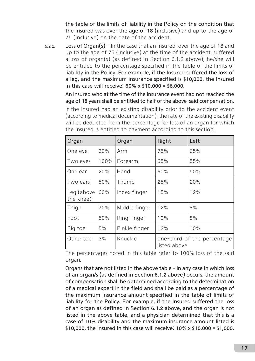the table of the limits of liability in the Policy on the condition that the Insured was over the age of 18 (inclusive) and up to the age of 75 (inclusive) on the date of the accident.

6.2.2. Loss of Organ(s) - In the case that an Insured, over the age of 18 and up to the age of 75 (inclusive) at the time of the accident, suffered a loss of organ(s) (as defined in Section 6.1.2 above), he/she will be entitled to the percentage specified in the table of the limits of liability in the Policy. For example, if the Insured suffered the loss of a leg, and the maximum insurance specified is \$10,000, the Insured in this case will receive: 60% x \$10,000 = \$6,000.

> An Insured who at the time of the insurance event had not reached the age of 18 years shall be entitled to half of the above-said compensation.

> If the Insured had an existing disability prior to the accident event (according to medical documentation), the rate of the existing disability will be deducted from the percentage for loss of an organ for which the Insured is entitled to payment according to this section.

| Organ                          |      | Organ         | Right                                       | Left  |
|--------------------------------|------|---------------|---------------------------------------------|-------|
| One eye                        | 30%  | Arm           | 75%                                         | 65%   |
| Two eyes                       | 100% | Forearm       | 65%                                         | 55%   |
| One ear                        | 20%  | Hand          | 60%                                         | 50%   |
| Two ears                       | 50%  | Thumb         | 25%                                         | 20%   |
| Leg (above $60\%$<br>the knee) |      | Index finger  | 15%                                         | 12%   |
| Thigh                          | 70%  | Middle finger | 12%                                         | $8\%$ |
| Foot                           | 50%  | Ring finger   | 10%                                         | 8%    |
| Big toe                        | 5%   | Pinkie finger | 12%                                         | 10%   |
| Other toe                      | 3%   | Knuckle       | one-third of the percentage<br>listed above |       |

The percentages noted in this table refer to 100% loss of the said organ.

Organs that are not listed in the above table – in any case in which loss of an organ/s (as defined in Section 6.1.2 above) occurs, the amount of compensation shall be determined according to the determination of a medical expert in the field and shall be paid as a percentage of the maximum insurance amount specified in the table of limits of liability for the Policy. For example, if the Insured suffered the loss of an organ as defined in Section 6.1.2 above, and the organ is not listed in the above table, and a physician determined that this is a case of 10% disability and the maximum insurance amount listed is \$10,000, the Insured in this case will receive: 10% x \$10,000 = \$1,000.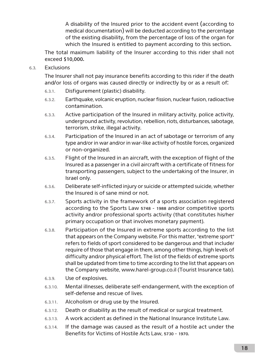A disability of the Insured prior to the accident event (according to medical documentation) will be deducted according to the percentage of the existing disability, from the percentage of loss of the organ for which the Insured is entitled to payment according to this section.

The total maximum liability of the Insurer according to this rider shall not exceed \$10,000.

6.3. Exclusions

The Insurer shall not pay insurance benefits according to this rider if the death and/or loss of organs was caused directly or indirectly by or as a result of:

- 6.3.1. Disfigurement (plastic) disability.
- 6.3.2. Earthquake, volcanic eruption, nuclear fission, nuclear fusion, radioactive contamination.
- 6.3.3. Active participation of the Insured in military activity, police activity, underground activity, revolution, rebellion, riots, disturbances, sabotage, terrorism, strike, illegal activity.
- 6.3.4. Participation of the Insured in an act of sabotage or terrorism of any type and/or in war and/or in war-like activity of hostile forces, organized or non-organized.
- 6.3.5. Flight of the Insured in an aircraft, with the exception of flight of the Insured as a passenger in a civil aircraft with a certificate of fitness for transporting passengers, subject to the undertaking of the Insurer, in Israel only.
- 6.3.6. Deliberate self-inflicted injury or suicide or attempted suicide, whether the Insured is of sane mind or not.
- 6.3.7. Sports activity in the framework of a sports association registered according to the Sports Law 5748 – 1988 and/or competitive sports activity and/or professional sports activity (that constitutes his/her primary occupation or that involves monetary payment).
- 6.3.8. Participation of the Insured in extreme sports according to the list that appears on the Company website. For this matter, "extreme sport" refers to fields of sport considered to be dangerous and that include/ require of those that engage in them, among other things, high levels of difficulty and/or physical effort. The list of the fields of extreme sports shall be updated from time to time according to the list that appears on the Company website, www.harel-group.co.il (Tourist Insurance tab).
- 6.3.9. Use of explosives.
- 6.3.10. Mental illnesses, deliberate self-endangerment, with the exception of self-defense and rescue of lives.
- 6.3.11. Alcoholism or drug use by the Insured.
- 6.3.12. Death or disability as the result of medical or surgical treatment.
- 6.3.13. A work accident as defined in the National Insurance Institute Law.
- 6.3.14. If the damage was caused as the result of a hostile act under the Benefits for Victims of Hostile Acts Law, 5730 – 1970.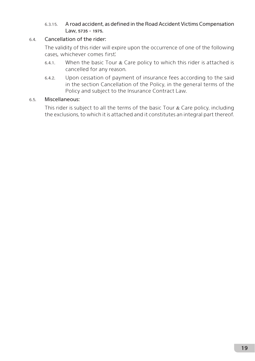#### 6.3.15. A road accident, as defined in the Road Accident Victims Compensation Law, 5735 – 1975.

#### 6.4. Cancellation of the rider:

The validity of this rider will expire upon the occurrence of one of the following cases, whichever comes first:

- 6.4.1. When the basic Tour  $\&$  Care policy to which this rider is attached is cancelled for any reason.
- 6.4.2. Upon cessation of payment of insurance fees according to the said in the section Cancellation of the Policy, in the general terms of the Policy and subject to the Insurance Contract Law.

#### 6.5. Miscellaneous:

This rider is subject to all the terms of the basic Tour & Care policy, including the exclusions, to which it is attached and it constitutes an integral part thereof.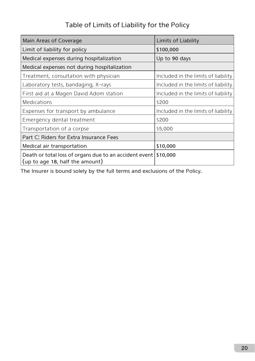## Table of Limits of Liability for the Policy

| Main Areas of Coverage                                                                    | Limits of Liability                 |  |
|-------------------------------------------------------------------------------------------|-------------------------------------|--|
| Limit of liability for policy                                                             | \$100,000                           |  |
| Medical expenses during hospitalization                                                   | Up to 90 days                       |  |
| Medical expenses not during hospitalization                                               |                                     |  |
| Treatment, consultation with physician                                                    | Included in the limits of liability |  |
| Laboratory tests, bandaging, X-rays                                                       | Included in the limits of liability |  |
| First aid at a Magen David Adom station                                                   | Included in the limits of liability |  |
| Medications                                                                               | \$200                               |  |
| Expenses for transport by ambulance                                                       | Included in the limits of liability |  |
| Emergency dental treatment                                                                | \$200                               |  |
| Transportation of a corpse                                                                | \$5,000                             |  |
| Part C: Riders for Extra Insurance Fees                                                   |                                     |  |
| Medical air transportation                                                                | \$10,000                            |  |
| Death or total loss of organs due to an accident event<br>(up to age 18, half the amount) | \$10,000                            |  |

The Insurer is bound solely by the full terms and exclusions of the Policy.